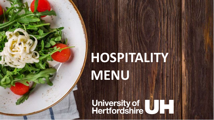# **HOSPITALITY MENU**

University of<br>Hertfordshire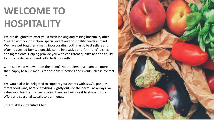# **WELCOME TO HOSPITALITY**

We are delighted to offer you a fresh looking and tasting hospitality offer. Created with your function, special event and hospitality needs in mind. We have put together a menu incorporating both classic best sellers and often requested items, alongside some innovative and "on-trend" dishes and ingredients. Helping provide you with consistent quality, and the ability for it to be delivered (and collected) discreetly.

Can't see what you want on the menu? No problem, our team are more than happy to build menus for bespoke functions and events, please contact us

We would also be delighted to support your events with BBQ's, pop ups, street food vans, bars or anything slightly outside the norm. As always, we value your feedback on an ongoing basis and will use it to shape future offers and seasonal tweaks to our menus.

Stuart Fildes - Executive Chef

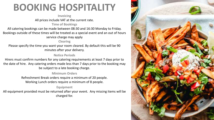## **BOOKING HOSPITALITY**

#### **Invoicing** All prices include VAT at the current rate.

**Time of Bookings**

All catering bookings can be made between 08:30 and 16:30 Monday to Friday. Bookings outside of these times will be treated as a special event and an out of hours

### service charge may apply

#### **Clearing**

Please specify the time you want your room cleared. By default this will be 90 minutes after your delivery.

### **Notice Periods**

Hirers must confirm numbers for any catering requirements at least 7 days prior to the date of hire. Any catering orders made less than 7 days prior to the booking may be subject to a late booking charge.

#### **Minimum Orders**

Refreshment Break orders require a minimum of 20 people. Working Lunch orders require a minimum of 8 people.

### **Equipment**

All equipment provided must be returned after your event. Any missing items will be charged for.

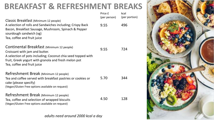### **BREAKFAST & REFRESHMENT BREAKS**

| Classic Breakfast (Minimum 12 people)                                                                                                                                                                                              | Price £<br>(per person) | kcal<br>(per portion) |
|------------------------------------------------------------------------------------------------------------------------------------------------------------------------------------------------------------------------------------|-------------------------|-----------------------|
| A selection of rolls and Sandwiches including; Crispy Back<br>Bacon, Breakfast Sausage, Mushroom, Spinach & Pepper<br>sourdough sandwich (vg)<br>Tea, coffee and fruit juice                                                       | 9.55                    | 496                   |
| Continental Breakfast (Minimum 12 people)<br>Croissant with jam and butter.<br>A selection of pots including; Coconut chia seed topped with<br>fruit, Greek yogurt with granola and fresh melon pot<br>Tea, coffee and fruit juice | 9.55                    | 724                   |
| Refreshment Break (Minimum 12 people)<br>Tea and coffee served with breakfast pastries or cookies or<br>cake (please specify)<br>(Vegan/Gluten Free options available on request)                                                  | 5.70                    | 344                   |
| Refreshment Break (Minimum 12 people)<br>Tea, coffee and selection of wrapped biscuits<br>(Vegan/Gluten Free options available on request)                                                                                         | 4.50                    | 128                   |

*adults need around 2000 kcal a day*

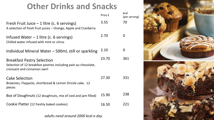### **Other Drinks and Snacks**

|                                                                                                                                      | Price £ | kcal<br>(per serving) |
|--------------------------------------------------------------------------------------------------------------------------------------|---------|-----------------------|
| Fresh Fruit Juice $-1$ litre (c. 6 servings)<br>A selection of fresh fruit juices – Orange, Apple and Cranberry                      | 3.55    | 70                    |
| Infused Water $-1$ litre (c. 6 servings)<br>Chilled water infused with mint or citrus                                                | 2.70    | 0                     |
| Individual Mineral Water – 500ml, still or sparkling                                                                                 | 2.10    | O                     |
| <b>Breakfast Pastry Selection</b><br>Selection of 12 breakfast pastries including pain au chocolate,<br>croissant and cinnamon swirl | 23.70   | 361                   |
| <b>Cake Selection</b><br>Brownies, Flapjacks, shortbread & Lemon Drizzle cake. 12<br>pieces                                          | 27.30   | 331                   |
| Box of Doughnuts (12 doughnuts, mix of iced and jam filled)                                                                          | 15.90   | 238                   |
| Cookie Platter (12 freshly baked cookies)                                                                                            | 16.50   | 221                   |
|                                                                                                                                      |         |                       |

*adults need around 2000 kcal a day*

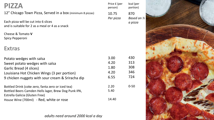### **PIZZA**

12" Chicago Town Pizza, Served in a box (minimum 8 pizzas)

Each pizza will be cut into 6 slices and is suitable for 2 as a meal or 4 as a snack

Cheese & Tomato **V** Spicy Pepperoni

### **Extras**

| Potato wedges with salsa                             | 3.00  | 430      |
|------------------------------------------------------|-------|----------|
| Sweet potato wedges with salsa                       | 4.20  | 313      |
| Garlic Bread (4 slices)                              | 1.80  | 308      |
| Louisiana Hot Chicken Wings (3 per portion)          | 4.20  | 346      |
| 9 chicken nuggets with sour cream & Sriracha dip     | 6.55  | 724      |
| Bottled Drink (coke zero, fanta zero or iced tea)    | 2.20  | $0 - 50$ |
| Bottled Beers Camden Hells lager, Brew Dog Punk IPA, | 5.40  |          |
| Estrella Galicia (Gluten Free)                       |       |          |
| House Wine (700ml) - Red, white or rose              | 14.40 |          |

*adults need around 2000 kcal a day*

| Price £ (per<br>person) | kcal (per<br>portion) |
|-------------------------|-----------------------|
| 10.75                   | 870                   |
| Per pizza               | Based on 1/2          |
|                         | a pizza               |

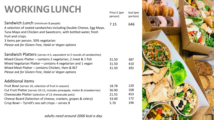# **WORKINGLUNCH**

Sandwich Lunch (minimum 8 people) A selection of sealed sandwiches including Double Cheese, Egg Mayo,

Tuna Mayo and Chicken and Sweetcorn, with bottled water, fresh fruit and crisps.

3 items per person. 50% vegetarian

*Please ask for Gluten Free, Halal or Vegan options*

Sandwich Platters (serves 4-5, equivalent to 5 rounds of sandwiches) Mixed Classic Platter – contains 2 vegetarian, 2 meat & 1 fish Mixed Vegetarian Platter – contains 4 vegetarian and 1 vegan Mixed Meat Platter – contains Chicken, Ham & BLT *Please ask for Gluten Free, Halal or Vegan options*

### Additional items

| Fruit Bowl (serves 10, selection of fruit in season)                       | 18.78 |
|----------------------------------------------------------------------------|-------|
| Cut Fruit Platter (serves 10-12, includes pineapple, melon & strawberries) | 36.90 |
| Cheesecake Platter (selection of 12 cheesecake pots)                       | 21.55 |
| Cheese Board (Selection of cheese, crackers, grapes & celery)              | 33.00 |
| Crisp Bowl - Tyrrell's sea salt crisps - serves 8                          | 5.70  |

*adults need around 2000 kcal a day*

Price £ (per person) kcal (per portion)

7.15

31.50 31.50 31.50



387 410 392

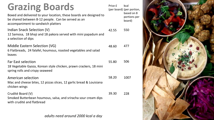# **Grazing Boards**

Boxed and delivered to your location, these boards are designed to be shared between 8-12 people. Can be served as an accompaniment to sandwich platters

Indian Snack Selection (V) 12 Samosa, 18 bhaji and 18 pakora served with mini papadum and a selection of dips

Middle Eastern Selection (VG) 6 Flatbreads, 24 falafel, houmous, roasted vegetables and salad leaves 48.60

Far East selection 18 Vegetable Gyoza, Korean style chicken, prawn crackers, 18 mini spring rolls and crispy seaweed 55.80

American selection Mac and cheese bites, 12 pizzas slices, 12 garlic bread & Louisiana chicken wings 58.20

Crudité Board (V) Smoked Butterbean houmous, salsa, and sriracha sour cream dips with crudité and flatbread

*adults need around 2000 kcal a day*

Price £ (per board) (per portion, 42.55 kcal based on 8 portions per board) 550 477 506

1007

228

39.30

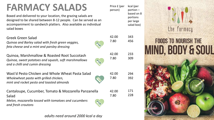# **FARMACY SALADS**

Boxed and delivered to your location, the grazing salads are designed to be shared between 8-12 people. Can be served as an accompaniment to sandwich platters. Also available as individual salad boxes

Greek Green Salad

*Quinoa and Barley salad with fresh green veggies, feta cheese and a mint and parsley dressing*

Quinoa, Marshmallow & Roasted Root Succotash *Quinoa, sweet potatoes and squash, soft marshmallows and a chilli and cumin dressing*

Wast'd Pesto Chicken and Whole Wheat Pasta Salad *Wholewheat pasta with grilled chicken, mint and rocket pesto and toasted almonds*

| Cantaloupe, Cucumber, Tomato & Mozzarella Panzanella | 42.00 | 171 |
|------------------------------------------------------|-------|-----|
| Salad                                                | 7.80  | 228 |

*Melon, mozzarella tossed with tomatoes and cucumbers and fresh croutons*



*adults need around 2000 kcal a day*

Price £ (per person) kcal (per portion – based on 8 portions per large salad box)

> 343 456

233 309

294 392

42.00 7.80

42.00 7.80

42.00 7.80